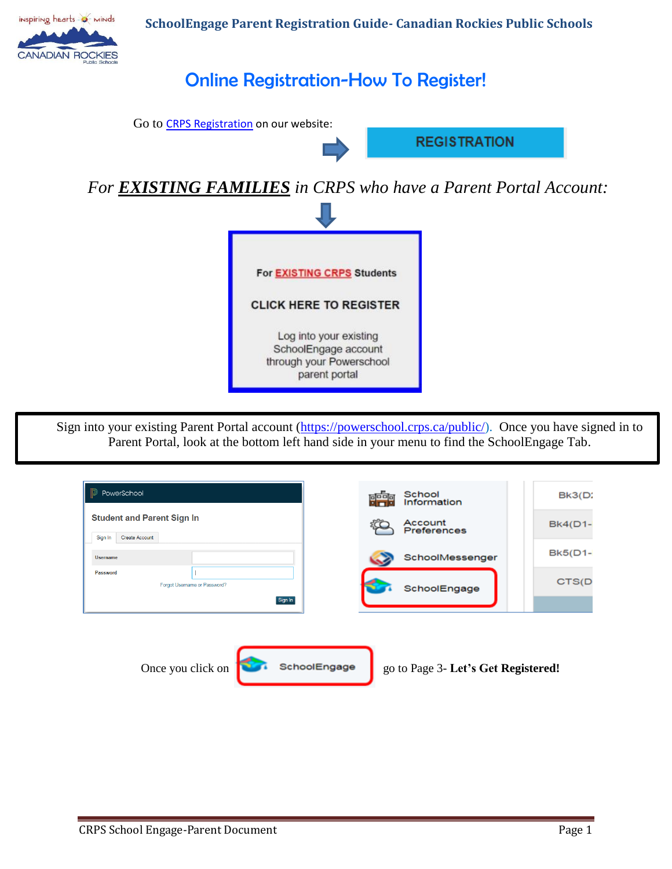inspiring hearts - Minds **CANADIAN ROCKIES** 

**SchoolEngage Parent Registration Guide- Canadian Rockies Public Schools**

## Online Registration-How To Register!



Sign into your existing Parent Portal account [\(https://powerschool.crps.ca/public/\)](https://powerschool.crps.ca/public/). Once you have signed in to Parent Portal, look at the bottom left hand side in your menu to find the SchoolEngage Tab.

| <b>Student and Parent Sign In</b><br>Create Account<br>Sign In | Account<br><b>Bk4(D1-</b><br>Preferences |
|----------------------------------------------------------------|------------------------------------------|
|                                                                |                                          |
| Username                                                       | Bk5(D1-<br>SchoolMessenger               |
| Password<br>Forgot Username or Password?                       | CTS(D<br>SchoolEngage                    |
|                                                                | Sign In                                  |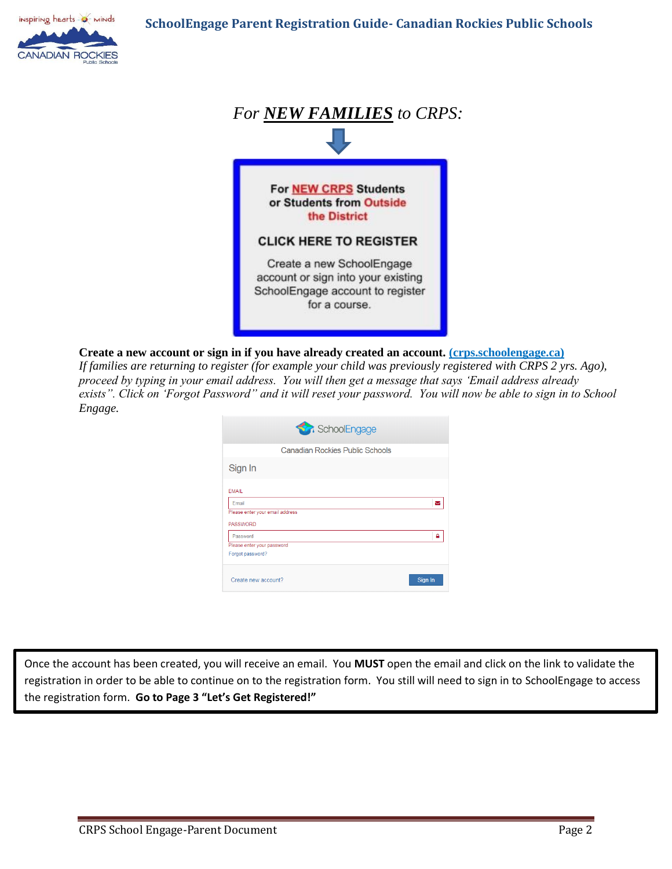**SchoolEngage Parent Registration Guide- Canadian Rockies Public Schools**





## **Create a new account or sign in if you have already created an account. (crps.schoolengage.ca)**

*If families are returning to register (for example your child was previously registered with CRPS 2 yrs. Ago), proceed by typing in your email address. You will then get a message that says 'Email address already exists". Click on 'Forgot Password" and it will reset your password. You will now be able to sign in to School Engage.*

| SchoolEngage                           |         |
|----------------------------------------|---------|
| <b>Canadian Rockies Public Schools</b> |         |
| Sign In                                |         |
| <b>FMAIL</b>                           |         |
| Email                                  | ⊻       |
| Please enter your email address        |         |
| <b>PASSWORD</b>                        |         |
| Password                               | ۵       |
| Please enter your password             |         |
| Forgot password?                       |         |
| Create new account?                    | Sign In |

Once the account has been created, you will receive an email. You **MUST** open the email and click on the link to validate the registration in order to be able to continue on to the registration form. You still will need to sign in to SchoolEngage to access the registration form. **Go to Page 3 "Let's Get Registered!"**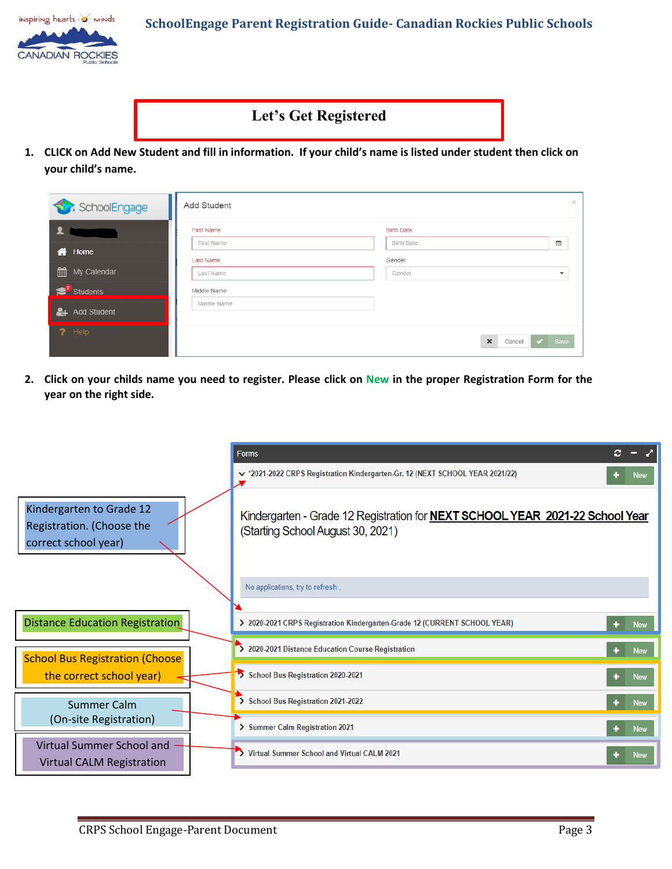

## **Let's Get Registered**

**1. CLICK on Add New Student and fill in information. If your child's name is listed under student then click on your child's name.**

| SchoolEngage                        | Add Student            |                                        | $\mathcal{N}^-$          |
|-------------------------------------|------------------------|----------------------------------------|--------------------------|
|                                     | <b>First Name</b>      | <b>Birth Date</b>                      |                          |
| <b>谷</b> Home                       | First Name             | <b>Birth Date</b>                      | 雦                        |
| My Calendar                         | Last Name<br>Last Name | Gender<br>Gender                       | $\overline{\phantom{a}}$ |
| $\mathcal{E}^{\mathbf{L}}$ Students | Middle Name            |                                        |                          |
| & Add Student                       | Middle Name            |                                        |                          |
| $?$ Help                            |                        | $\mathbf x$<br>Cancel<br>$\mathcal{L}$ | Save                     |

**2. Click on your childs name you need to register. Please click on New in the proper Registration Form for the year on the right side.** 

|                                                                               | <b>Forms</b>                                                                                                              |            |
|-------------------------------------------------------------------------------|---------------------------------------------------------------------------------------------------------------------------|------------|
|                                                                               | ↓ *2021-2022 CRPS Registration Kindergarten-Gr. 12 (NEXT SCHOOL YEAR 2021/22)                                             | Nev        |
| Kindergarten to Grade 12<br>Registration. (Choose the<br>correct school year) | Kindergarten - Grade 12 Registration for <b>NEXT SCHOOL YEAR 2021-22 School Year</b><br>(Starting School August 30, 2021) |            |
|                                                                               | No applications, try to refresh.                                                                                          |            |
| <b>Distance Education Registration</b>                                        | > 2020-2021 CRPS Registration Kindergarten-Grade 12 (CURRENT SCHOOL YEAR)                                                 | <b>New</b> |
| <b>School Bus Registration (Choose</b>                                        | > 2020-2021 Distance Education Course Registration                                                                        | <b>New</b> |
| the correct school year)                                                      | School Bus Registration 2020-2021                                                                                         | <b>New</b> |
| <b>Summer Calm</b>                                                            | School Bus Registration 2021-2022                                                                                         | <b>New</b> |
| (On-site Registration)                                                        | > Summer Calm Registration 2021                                                                                           | <b>New</b> |
| Virtual Summer School and<br><b>Virtual CALM Registration</b>                 | > Virtual Summer School and Virtual CALM 2021                                                                             | New        |